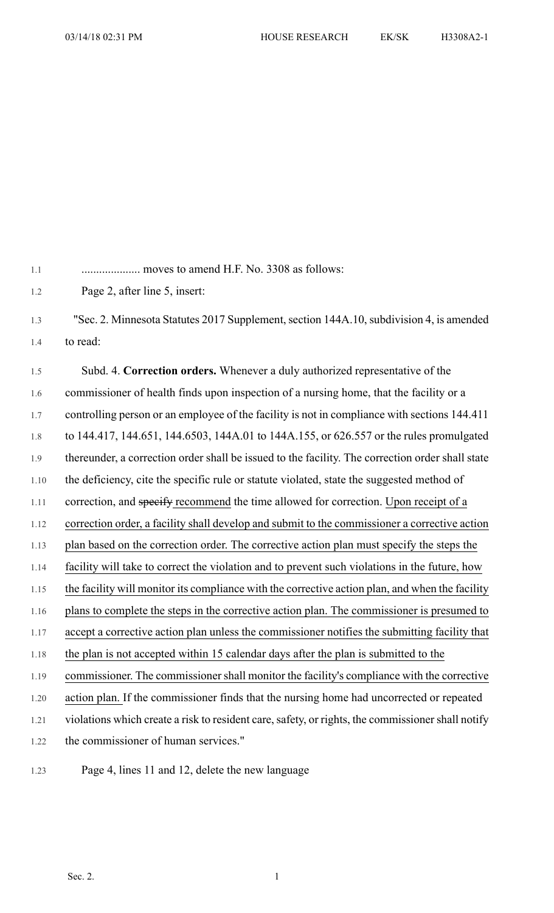1.1 .................... moves to amend H.F. No. 3308 as follows:

1.2 Page 2, after line 5, insert:

1.3 "Sec. 2. Minnesota Statutes 2017 Supplement, section 144A.10, subdivision 4, is amended 1.4 to read:

1.5 Subd. 4. **Correction orders.** Whenever a duly authorized representative of the 1.6 commissioner of health finds upon inspection of a nursing home, that the facility or a 1.7 controlling person or an employee of the facility is not in compliance with sections 144.411 1.8 to 144.417, 144.651, 144.6503, 144A.01 to 144A.155, or 626.557 or the rules promulgated 1.9 thereunder, a correction order shall be issued to the facility. The correction order shall state 1.10 the deficiency, cite the specific rule or statute violated, state the suggested method of 1.11 correction, and specify recommend the time allowed for correction. Upon receipt of a 1.12 correction order, a facility shall develop and submit to the commissioner a corrective action 1.13 plan based on the correction order. The corrective action plan must specify the steps the 1.14 facility will take to correct the violation and to prevent such violations in the future, how 1.15 the facility will monitor its compliance with the corrective action plan, and when the facility 1.16 plans to complete the steps in the corrective action plan. The commissioner is presumed to 1.17 accept a corrective action plan unless the commissioner notifies the submitting facility that 1.18 the plan is not accepted within 15 calendar days after the plan is submitted to the 1.19 commissioner. The commissioner shall monitor the facility's compliance with the corrective 1.20 action plan. If the commissioner finds that the nursing home had uncorrected or repeated 1.21 violations which create a risk to resident care, safety, or rights, the commissioner shall notify 1.22 the commissioner of human services."

1.23 Page 4, lines 11 and 12, delete the new language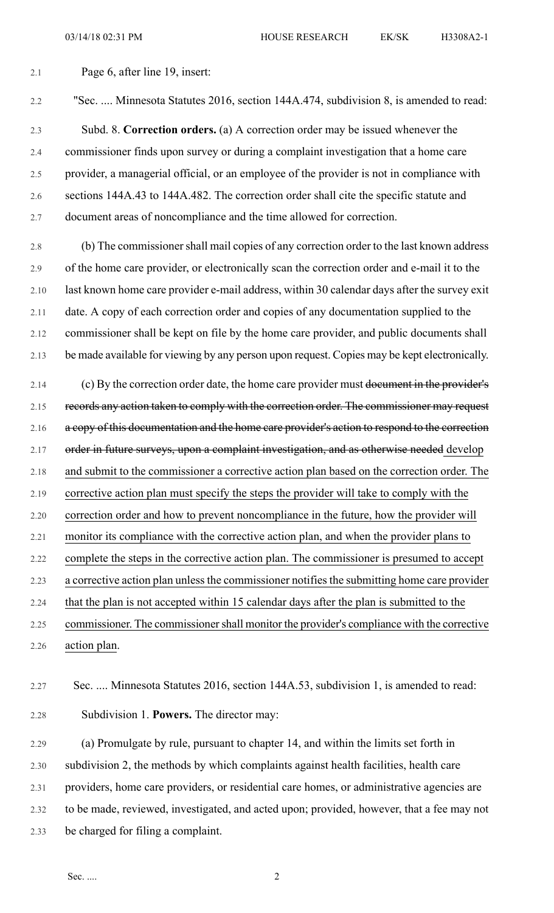## 2.1 Page 6, after line 19, insert:

2.2 "Sec. .... Minnesota Statutes 2016, section 144A.474, subdivision 8, is amended to read:

2.3 Subd. 8. **Correction orders.** (a) A correction order may be issued whenever the 2.4 commissioner finds upon survey or during a complaint investigation that a home care 2.5 provider, a managerial official, or an employee of the provider is not in compliance with 2.6 sections 144A.43 to 144A.482. The correction order shall cite the specific statute and 2.7 document areas of noncompliance and the time allowed for correction.

2.8 (b) The commissionershall mail copies of any correction order to the last known address 2.9 of the home care provider, or electronically scan the correction order and e-mail it to the 2.10 last known home care provider e-mail address, within 30 calendar days after the survey exit 2.11 date. A copy of each correction order and copies of any documentation supplied to the 2.12 commissioner shall be kept on file by the home care provider, and public documents shall 2.13 be made available for viewing by any person upon request. Copies may be kept electronically.

2.14 (c) By the correction order date, the home care provider must document in the provider's 2.15 records any action taken to comply with the correction order. The commissioner may request 2.16 a copy of this documentation and the home care provider's action to respond to the correction 2.17 order in future surveys, upon a complaint investigation, and as otherwise needed develop 2.18 and submit to the commissioner a corrective action plan based on the correction order. The 2.19 corrective action plan must specify the steps the provider will take to comply with the 2.20 correction order and how to prevent noncompliance in the future, how the provider will 2.21 monitor its compliance with the corrective action plan, and when the provider plans to 2.22 complete the steps in the corrective action plan. The commissioner is presumed to accept 2.23 a corrective action plan unless the commissioner notifies the submitting home care provider 2.24 that the plan is not accepted within 15 calendar days after the plan is submitted to the 2.25 commissioner. The commissionershall monitor the provider's compliance with the corrective

## 2.26 action plan.

## 2.27 Sec. .... Minnesota Statutes 2016, section 144A.53, subdivision 1, is amended to read:

2.28 Subdivision 1. **Powers.** The director may:

2.29 (a) Promulgate by rule, pursuant to chapter 14, and within the limits set forth in 2.30 subdivision 2, the methods by which complaints against health facilities, health care 2.31 providers, home care providers, or residential care homes, or administrative agencies are 2.32 to be made, reviewed, investigated, and acted upon; provided, however, that a fee may not 2.33 be charged for filing a complaint.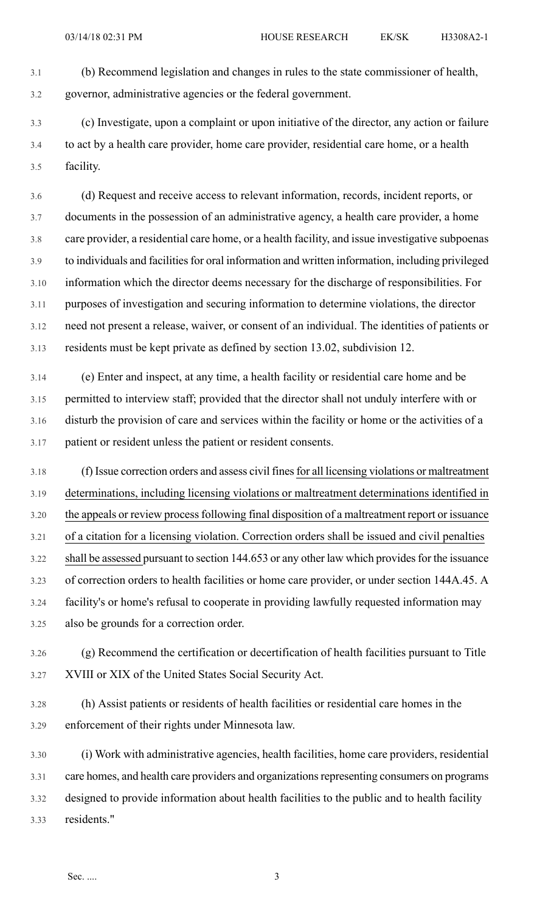3.1 (b) Recommend legislation and changes in rules to the state commissioner of health, 3.2 governor, administrative agencies or the federal government.

3.3 (c) Investigate, upon a complaint or upon initiative of the director, any action or failure 3.4 to act by a health care provider, home care provider, residential care home, or a health 3.5 facility.

3.6 (d) Request and receive access to relevant information, records, incident reports, or 3.7 documents in the possession of an administrative agency, a health care provider, a home 3.8 care provider, a residential care home, or a health facility, and issue investigative subpoenas 3.9 to individuals and facilities for oral information and written information, including privileged 3.10 information which the director deems necessary for the discharge of responsibilities. For 3.11 purposes of investigation and securing information to determine violations, the director 3.12 need not present a release, waiver, or consent of an individual. The identities of patients or 3.13 residents must be kept private as defined by section 13.02, subdivision 12.

3.14 (e) Enter and inspect, at any time, a health facility or residential care home and be 3.15 permitted to interview staff; provided that the director shall not unduly interfere with or 3.16 disturb the provision of care and services within the facility or home or the activities of a 3.17 patient or resident unless the patient or resident consents.

3.18 (f) Issue correction orders and assess civil finesfor all licensing violations or maltreatment 3.19 determinations, including licensing violations or maltreatment determinations identified in 3.20 the appeals or review processfollowing final disposition of a maltreatment report or issuance 3.21 of a citation for a licensing violation. Correction orders shall be issued and civil penalties 3.22 shall be assessed pursuant to section 144.653 or any other law which provides for the issuance 3.23 of correction orders to health facilities or home care provider, or under section 144A.45. A 3.24 facility's or home's refusal to cooperate in providing lawfully requested information may 3.25 also be grounds for a correction order.

3.26 (g) Recommend the certification or decertification of health facilities pursuant to Title 3.27 XVIII or XIX of the United States Social Security Act.

- 3.28 (h) Assist patients or residents of health facilities or residential care homes in the 3.29 enforcement of their rights under Minnesota law.
- 3.30 (i) Work with administrative agencies, health facilities, home care providers, residential 3.31 care homes, and health care providers and organizationsrepresenting consumers on programs 3.32 designed to provide information about health facilities to the public and to health facility 3.33 residents."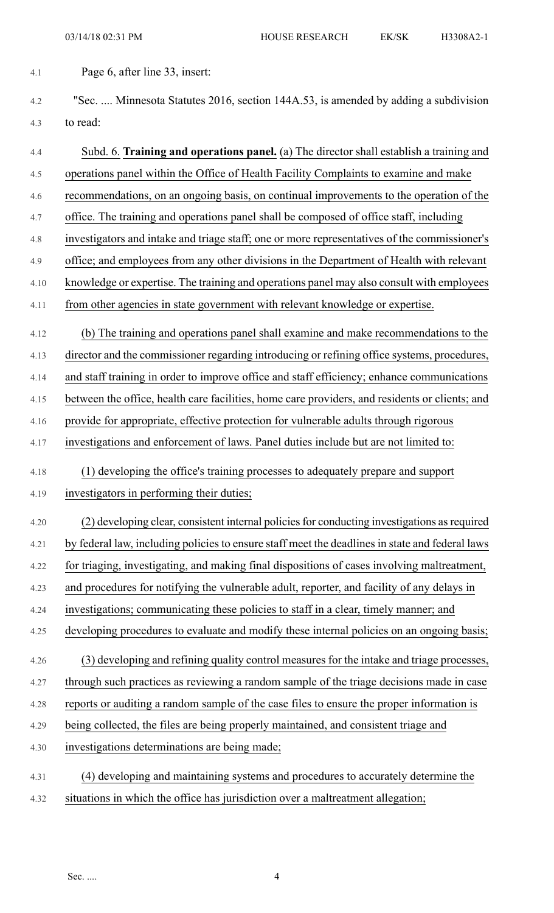4.1 Page 6, after line 33, insert:

4.2 "Sec. .... Minnesota Statutes 2016, section 144A.53, is amended by adding a subdivision 4.3 to read:

4.4 Subd. 6. **Training and operations panel.** (a) The director shall establish a training and 4.5 operations panel within the Office of Health Facility Complaints to examine and make 4.6 recommendations, on an ongoing basis, on continual improvements to the operation of the 4.7 office. The training and operations panel shall be composed of office staff, including 4.8 investigators and intake and triage staff; one or more representatives of the commissioner's 4.9 office; and employees from any other divisions in the Department of Health with relevant 4.10 knowledge or expertise. The training and operations panel may also consult with employees 4.11 from other agencies in state government with relevant knowledge or expertise. 4.12 (b) The training and operations panel shall examine and make recommendations to the 4.13 director and the commissioner regarding introducing or refining office systems, procedures, 4.14 and staff training in order to improve office and staff efficiency; enhance communications 4.15 between the office, health care facilities, home care providers, and residents or clients; and 4.16 provide for appropriate, effective protection for vulnerable adults through rigorous 4.17 investigations and enforcement of laws. Panel duties include but are not limited to: 4.18 (1) developing the office's training processes to adequately prepare and support 4.19 investigators in performing their duties; 4.20 (2) developing clear, consistent internal policies for conducting investigations as required 4.21 by federal law, including policies to ensure staff meet the deadlines in state and federal laws 4.22 for triaging, investigating, and making final dispositions of cases involving maltreatment, 4.23 and procedures for notifying the vulnerable adult, reporter, and facility of any delays in 4.24 investigations; communicating these policies to staff in a clear, timely manner; and 4.25 developing procedures to evaluate and modify these internal policies on an ongoing basis; 4.26 (3) developing and refining quality control measures for the intake and triage processes, 4.27 through such practices as reviewing a random sample of the triage decisions made in case 4.28 reports or auditing a random sample of the case files to ensure the proper information is 4.29 being collected, the files are being properly maintained, and consistent triage and 4.30 investigations determinations are being made; 4.31 (4) developing and maintaining systems and procedures to accurately determine the 4.32 situations in which the office has jurisdiction over a maltreatment allegation;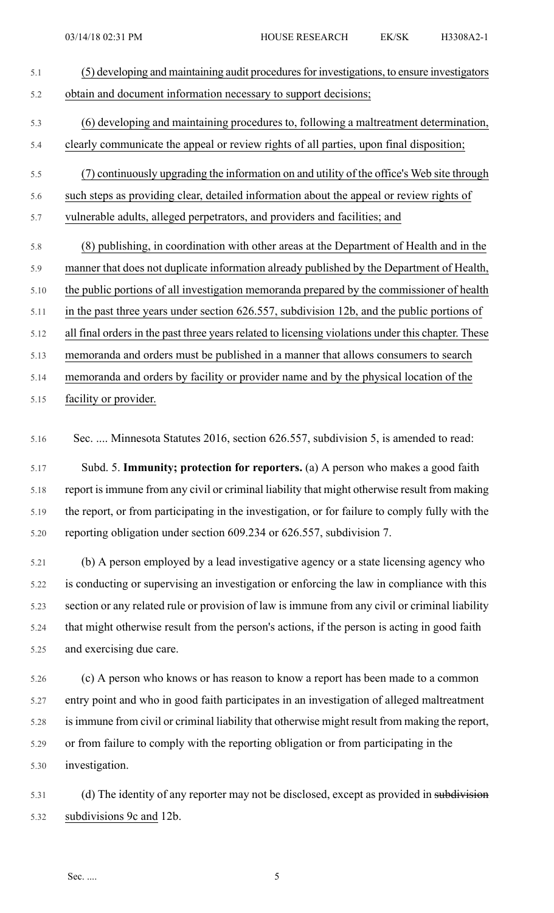| 5.1        | (5) developing and maintaining audit procedures for investigations, to ensure investigators                                                                                      |
|------------|----------------------------------------------------------------------------------------------------------------------------------------------------------------------------------|
| 5.2        | obtain and document information necessary to support decisions;                                                                                                                  |
| 5.3<br>5.4 | (6) developing and maintaining procedures to, following a maltreatment determination,<br>clearly communicate the appeal or review rights of all parties, upon final disposition; |
| 5.5        | (7) continuously upgrading the information on and utility of the office's Web site through                                                                                       |
| 5.6        | such steps as providing clear, detailed information about the appeal or review rights of                                                                                         |
| 5.7        | vulnerable adults, alleged perpetrators, and providers and facilities; and                                                                                                       |
| 5.8        | (8) publishing, in coordination with other areas at the Department of Health and in the                                                                                          |
| 5.9        | manner that does not duplicate information already published by the Department of Health,                                                                                        |
| 5.10       | the public portions of all investigation memoranda prepared by the commissioner of health                                                                                        |
| 5.11       | in the past three years under section 626.557, subdivision 12b, and the public portions of                                                                                       |
| 5.12       | all final orders in the past three years related to licensing violations under this chapter. These                                                                               |
| 5.13       | memoranda and orders must be published in a manner that allows consumers to search                                                                                               |
| 5.14       | memoranda and orders by facility or provider name and by the physical location of the                                                                                            |

5.15 facility or provider.

5.16 Sec. .... Minnesota Statutes 2016, section 626.557, subdivision 5, is amended to read:

5.17 Subd. 5. **Immunity; protection for reporters.** (a) A person who makes a good faith 5.18 report isimmune from any civil or criminal liability that might otherwise result from making 5.19 the report, or from participating in the investigation, or for failure to comply fully with the 5.20 reporting obligation under section 609.234 or 626.557, subdivision 7.

5.21 (b) A person employed by a lead investigative agency or a state licensing agency who 5.22 is conducting or supervising an investigation or enforcing the law in compliance with this 5.23 section or any related rule or provision of law is immune from any civil or criminal liability 5.24 that might otherwise result from the person's actions, if the person is acting in good faith 5.25 and exercising due care.

5.26 (c) A person who knows or has reason to know a report has been made to a common 5.27 entry point and who in good faith participates in an investigation of alleged maltreatment 5.28 isimmune from civil or criminal liability that otherwise might result from making the report, 5.29 or from failure to comply with the reporting obligation or from participating in the 5.30 investigation.

5.31 (d) The identity of any reporter may not be disclosed, except as provided in subdivision 5.32 subdivisions 9c and 12b.